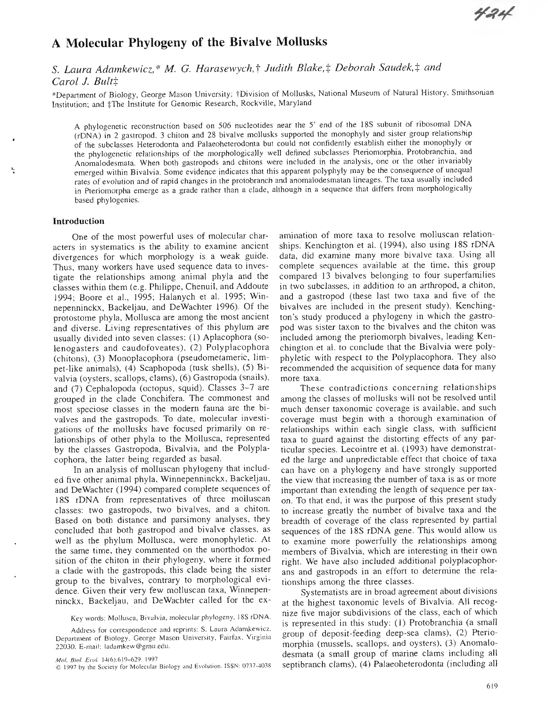# A Molecular Phylogeny of the Bivalve Mollusks

## $S$ . *Laura Adamkewicz,\* M. G. Harasewych,† Judith Blake,‡ Deborah Saudek,‡ and Carol J. Bultt*

\*Department of Biology, George Mason University; tDivision of Mollusks, National Museum of Natural History, Smithsonian Institution; and ‡The Institute for Genomic Research, Rockville, Maryland

A phylogenetic reconstruction based on 506 nucleotides near the 5' end of the 18S subunit of ribosomal DNA (rDNA) in 2 gastropod, 3 chiton and 28 bivalve mollusks supported the monophyly and sister group relationship of the subclasses Heterodonta and Palaeoheterodonta but could not confidently establish either the monophyly or the phylogenetic relationships of the morphologically well defined subclasses Pteriomorphia, Protobranchia, and Anomalodesmata. When both gastropods and chitons were included in the analysis, one or the other invariably emerged within Bivalvia. Some evidence indicates that this apparent polyphyly may be the consequence of unequal rales of evolution and of rapid changes in the protobranch and anomalodesmatan lineages. The taxa usually included in Pteriomorpha emerge as a grade rather than a clade, although in a sequence that differs from morphologically based phylogenies.

#### **Introduction**

One of the most powerful uses of molecular characters in systematics is the ability to examine ancient divergences for which morphology is a weak guide. Thus, many workers have used sequence data to investigate the relationships among animal phyla and the classes within them (e.g. Philippe, Chenuil, and Addoute 1994; Boore at al., 1995; Halanych et al. 1995; Winnepenninckx, Backeljau, and DeWachter 1996). Of the protostome phyla, Mollusca are among the most ancient and diverse. Living representatives of this phylum are usually divided into seven classes; (1) Aplacophora (solenogasters and caudofoveates), (2) Polyplacophora (chitons), (3) Monoplacophora (pseudometameric, limpet-like animals), (4) Scaphopoda (tusk shells), (5) Bivalvia (oysters, scallops, clams), (6) Gastropoda (snails), and (7) Cephalopoda (octopus, squid). Classes 3-7 are grouped in the clade Conchífera. The commonest and most speciose classes in the modern fauna are the bivalves and the gastropods. To date, molecular investigations of the mollusks have focused primarily on relationships of other phyla to the Mollusca, represented by the classes Gastropoda, Bivalvia, and the Polyplacophora, the latter being regarded as basal.

In an analysis of molluscan phylogeny that included five other animal phyla, Winnepenninckx, Backeljau, and DeWachter (1994) compared complete sequences of 18S rDNA from representatives of three molluscan classes; two gastropods, two bivalves, and a chiton. Based on both distance and parsimony analyses, they concluded that both gastropod and bivalve classes, as well as the phylum Mollusca, were monophyletic. At the same time, they commented on the unorthodox position of the chiton in their phylogeny, where it formed a clade with the gastropods, this clade being the sister group to the bivalves, contrary to morphological evidence. Given their very few molluscan taxa, Winnepenninckx, Backeljau, and DeWachter called for the ex-

Key words: Mollusca, Bivalvia, molecular phylogeny, 18S rDNA.

Address for correspondence and reprints: S. Laura Adanikewicz. Department of Biology, George Mason University. Fairfax. Virginia 22030. E-mail: ladamkew@gmu.edu.

amination of more taxa to resolve molluscan relationships. Kenchington et al. (1994), also using i8S rDNA data, did examine many more bivalve taxa. Using all complete sequences available at the time, this group compared 13 bivalves belonging to four superfamilies in two subclasses, in addition to an arthropod, a chiton, and a gastropod (these last two taxa and five of the bivalves are included in the present study). Kenchington's study produced a phylogeny in which the gastropod was sister taxon to the bivalves and the chiton was included among the pteriomorph bivalves, leading Kenchington et al. to conclude that the Bivalvia were polyphyletic with respect to the Polyplacophora. They also recommended the acquisition of sequence data for many more taxa.

These contradictions concerning relationships among the classes of mollusks will not be resolved until much denser taxonomic coverage is available, and such coverage must begin with a thorough examination of relationships within each single class, with sufficient taxa to guard against the distorting effects of any particular species. Lecointre et al. (1993) have demonstrated the large and unpredictable effect that choice of taxa can have on a phylogeny and have strongly supported the view that increasing the number of taxa is as or more important than extending the length of sequence per taxon. To that end, it was the purpose of this present study to increase greatly the number of bivalve taxa and the breadth of coverage of the class represented by partial sequences of the 18S rDNA gene. This would allow us to examine more powerfully the relationships among members of Bivalvia, which are interesting in their own right. We have also included additional polyplacophorans and gastropods in an effort to determine the relationships among the three classes.

Systematists are in broad agreement about divisions at the highest taxonomic levels of Bivalvia. All recognize five major subdivisions of the class, each of which is represented in this study; (1) Protobranchia (a small group of deposit-feeding deep-sea clams), (2) Pteriomorphia (mussels, scallops, and oysters), (3) Anomalodesmata (a small group of marine clams including all septibranch clams), (4) Palaeoheterodonta (including all

*Mol. Biol. Evol.* 14(6):619-629. 1997

<sup>©</sup> 1997 by ihe Society for Molecular Biology and Evoluüon. ISSN: 0737-4038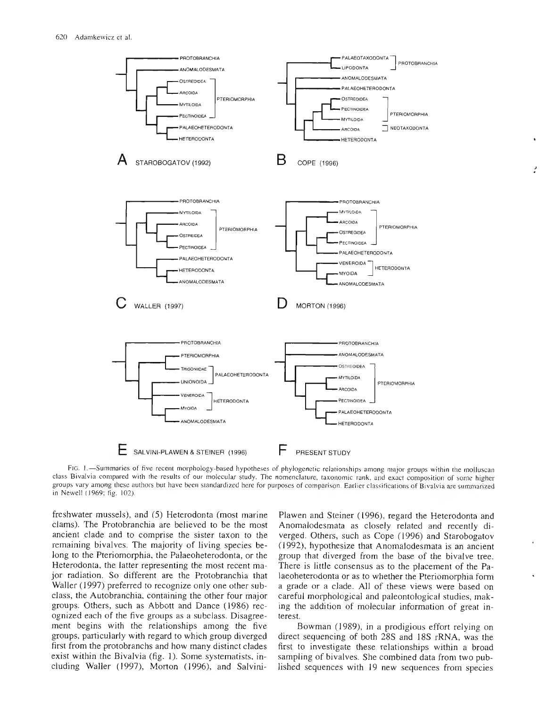

FIG. 1. - Summaries of five recent morphology-based hypotheses of phylogenetic relationships among major groups within the molluscan class Bivalvia compared with the results of our molecular study. The nomenclature, taxonomic rank, and exact composition of some higher groups vary among these authors but have been standardized here for purposes of comparison. Earlier classifications of Bivalvia are summarized in Newell (1969; fig. 102).

freshwater mussels), and (5) Heterodonta (most marine clams). The Protobranchia are believed to be the most ancient clade and to comprise the sister taxon to the remaining bivalves. The majority of living species belong to the Pteriomorphia, the Palaeoheterodonta, or the Heterodonta, the latter representing the most recent major radiation. So different are the Protobranchia that Waller (1997) preferred to recognize only one other subclass, the Autobranchia, containing the other four major groups. Others, such as Abbott and Dance (1986) recognized each of the five groups as a subclass. Disagreement begins with the relationships among the five groups, particularly with regard to which group diverged first from the protobranchs and how many distinct clades exist within the Bivalvia (fig. 1). Some systematists, including Waller (1997), Morton (1996), and SalviniPlawen and Steiner (1996), regard the Heterodonta and Anomalodesmata as closely related and recently diverged. Others, such as Cope (1996) and Starobogatov (1992), hypothesize that Anomalodesmata is an ancient group that diverged from the base of the bivalve tree. There is little consensus as to the placement of the Palaeoheterodonta or as to whether the Pteriomorphia form a grade or a clade. All of these views were based on careful morphological and paleontological studies, making the addition of molecular information of great interest.

Bowman (1989), in a prodigious effort relying on direct sequencing of both 28S and 18S rRNA, was the first to investigate these relationships within a broad sampling of bivalves. She combined data from two published sequences with 19 new sequences from species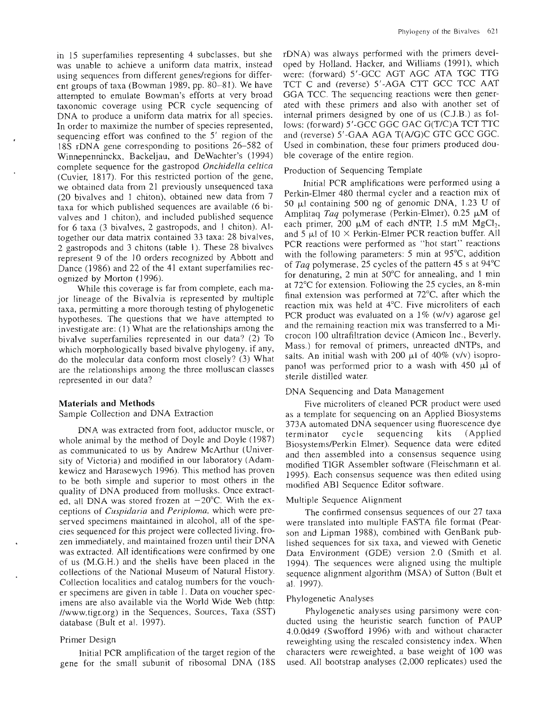in 15 superfamilies representing 4 subclasses, but she was unable to achieve a uniform data matrix, instead using sequences from different genes/regions for different groups of taxa (Bowman 1989, pp. 80-81). We have attempted to emulate Bowman's efforts at very broad taxonomic coverage using PCR cycle sequencing of DNA to produce a uniform data matrix for all species. In order to maximize the number of species represented, sequencing effort was confined to the 5' region of the 18S rDNA gene corresponding to positions 26-582 of Winnepenninckx, Backeijau, and DeWachter's (1994) complete sequence for the gastropod *Onchidella céltica* (Cuvier, 1817). For this restricted portion of the gene, we obtained data from 21 previously unsequenced taxa (20 bivalves and <sup>1</sup> chiton), obtained new data from 7 taxa for which published sequences are available (6 bivalves and <sup>1</sup> chiton), and included published sequence for 6 taxa (3 bivalves, 2 gastropods, and <sup>1</sup> chiton). Altogether our data matrix contained 33 taxa: 28 bivalves, 2 gastropods and 3 chitons (table 1). These 28 bivalves represent 9 of the 10 orders recognized by Abbott and Dance (1986) and 22 of the 41 extant superfamilies recognized by Morton (1996).

While this coverage is far from complete, each major lineage of the Bivalvia is represented by multiple taxa, permitting a more thorough testing of phylogenetic hypotheses. The questions that we have attempted to investigate are; (1) What are the relationships among the bivalve superfamilies represented in our data? (2) To which morphologically based bivalve phylogeny, if any, do the molecular data conform most closely? (3) What are the relationships among the three molluscan classes represented in our data?

#### **Materials and Methods**

Sample Collection and DNA Extraction

DNA was extracted from foot, adductor muscle, or whole animal by the method of Doyle and Doyle (1987) as communicated to us by Andrew McArthur (University of Victoria) and modified in our laboratory (Adamkewicz and Harasewych 1996). This method has proven to be both simple and superior to most others in the quality of DNA produced from mollusks. Once extracted, all DNA was stored frozen at  $-20^{\circ}$ C. With the exceptions of *Cuspidaria* and *Periploma,* which were preserved specimens maintained in alcohol, all of the species sequenced for this project were collected living, frozen immediately, and maintained frozen until their DNA was extracted. All identifications were confirmed by one of us (M.G.H.) and the shells have been placed in the collections of the National Museum of Natural History. Collection localities and catalog numbers for the voucher specimens are given in table 1. Data on voucher specimens are also available via the World Wide Web (http: //www.tigr.org) in the Sequences, Sources, Taxa (SST) database (Bult et al. 1997).

#### Primer Design

Initial PCR amplification of the target region of the gene for the small subunit of ribosomal DNA (18S rDNA) was always performed with the primers developed by Holland, Hacker, and Williams (1991), which were: (forward) 5'-GCC ACT AGC ATA TGC TTG TCT C and (reverse) 5'-AGA CTT GCC TCC AAT GGA TCC. The sequencing reactions were then generated with these primers and also with another set of internal primers designed by one of us (C.J.B.) as follows: (forward) 5'-GCC GGC GAC G(T/C)A TCT TTC and (reverse) 5'-GAA AGA T(A/G)C GTC GCC GGC. Used in combination, these four primers produced double coverage of the entire region.

#### Production of Sequencing Template

Initial PCR amplifications were performed using a Perkin-Elmer 480 thermal cycler and a reaction mix of 50 *\ú* containing 500 ng of genomic DNA, 1.23 U of Amplitaq *Taq* polymerase (Perkin-Elmer), 0.25  $\mu$ M of each primer, 200  $\mu$ M of each dNTP, 1.5 mM MgCl<sub>2</sub>, and 5  $\mu$ l of 10  $\times$  Perkin-Elmer PCR reaction buffer. All PCR reactions were performed as "hot start" reactions with the following parameters: 5 min at 95°C, addition of *Taq* polymerase, 25 cycles of the pattern 45 <sup>s</sup> at 94°C for denaturing, 2 min at  $50^{\circ}$ C for annealing, and 1 min at 72°C for extension. Following the 25 cycles, an 8-min final extension was performed at 72°C, after which the reaction mix was held at 4°C. Five microliters of each PCR product was evaluated on a 1% (w/v) agarose gel and the remaining reaction mix was transferred to a Microcon 100 ultrafiltration device (Amicon Inc., Beveriy, Mass.) for removal of primers, unreacted dNTPs, and salts. An initial wash with 200  $\mu$ l of 40% (v/v) isopropanol was performed prior to a wash with  $450 \mu l$  of sterile distilled water.

#### DNA Sequencing and Data Management

Five microliters of cleaned PCR product were used as a template for sequencing on an Applied Biosystems 373A automated DNA sequencer using fluorescence dye terminator cycle sequencing kits (Applied Biosystems/Perkin Elmer). Sequence data were edited and then assembled into a consensus sequence using modified TIGR Assembler software (Fleischmann et al. 1995). Each consensus sequence was then edited using modified ABl Sequence Editor software.

#### Multiple Sequence Alignment

The confirmed consensus sequences of our 27 taxa were translated into multiple FASTA file format (Pearson and Lipman 1988), combined with GenBank published sequences for six taxa, and viewed with Genetic Data Environment (GDE) version 2.0 (Smith et al. 1994). The sequences were aligned using the multiple sequence alignment algorithm (MSA) of Sutton (Bult et al. 1997).

#### Phylogenetic Analyses

Phylogenetic analyses using parsimony were conducted using the heuristic search function of PAUP 4.0.0d49 (Swofford 1996) with and without character reweighting using the rescaled consistency index. When characters were reweighted, a base weight of 100 was used. All bootstrap analyses (2,000 replicates) used the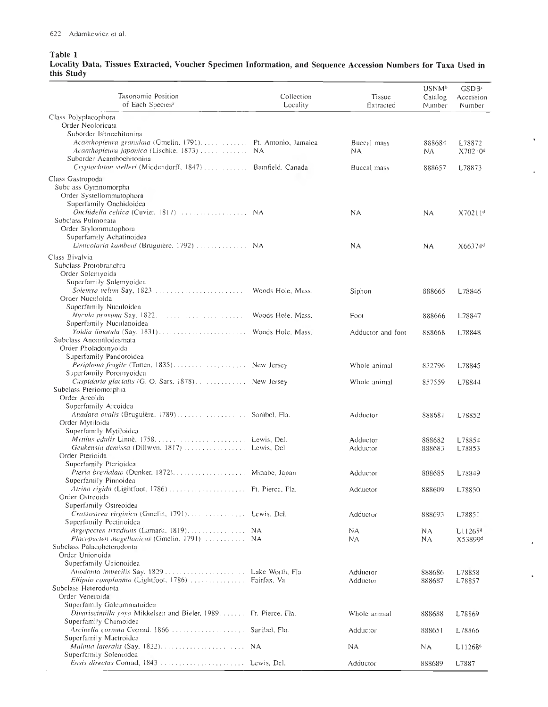### Table <sup>1</sup>

Locality Data, Tissues Extracted, Voucher Specimen Information, and Sequence Accession Numbers for Taxa Used in this Study

 $\ddot{\phantom{0}}$ 

l,

 $\bar{\pmb{\cdot}}$ 

 $\hat{\mathbf{v}}$ 

| Taxonomic Position<br>of Each Species <sup>3</sup>                                     | Collection<br>Locality | Tissue<br>Extracted | USNM <sup>b</sup><br>Catalog<br>Number | GSDB <sup>c</sup><br>Accession<br>Number |
|----------------------------------------------------------------------------------------|------------------------|---------------------|----------------------------------------|------------------------------------------|
| Class Polyplacophora                                                                   |                        |                     |                                        |                                          |
| Order Neoloricata                                                                      |                        |                     |                                        |                                          |
| Suborder Ishnochitonina<br>Acanthopleura granulata (Gmelin, 1791) Pt. Antonio, Jamaica |                        | Buccal mass         | 888684                                 | L78872                                   |
| Acanthopleura japonica (Lischke, 1873)                                                 | ΝA                     | <b>NA</b>           | NA                                     | X70210 <sup>d</sup>                      |
| Suborder Acanthochitonina                                                              |                        |                     |                                        |                                          |
| Cryptochiton stelleri (Middendorff, 1847)  Bamfield, Canada                            |                        | Buccal mass         | 888657                                 | L78873                                   |
| Class Gastropoda                                                                       |                        |                     |                                        |                                          |
| Subelass Gymnomorpha                                                                   |                        |                     |                                        |                                          |
| Order Systellommatophora<br>Superfamily Onchidoidea                                    |                        |                     |                                        |                                          |
| Onchidella celtica (Cuvier, 1817)  NA                                                  |                        | NA                  | NА                                     | X70211 <sup>d</sup>                      |
| Subclass Pulmonata                                                                     |                        |                     |                                        |                                          |
| Order Stylommatophora                                                                  |                        |                     |                                        |                                          |
| Superfamily Achatinoidea                                                               |                        |                     |                                        |                                          |
| Limicolaria kambeul (Bruguière, 1792)                                                  | N A                    | NA.                 | ΝA                                     | $X66374^{d}$                             |
| Class Bivalvia<br>Subclass Protobranchia                                               |                        |                     |                                        |                                          |
| Order Solemyoida                                                                       |                        |                     |                                        |                                          |
| Superfamily Solemyoidea                                                                |                        |                     |                                        |                                          |
|                                                                                        |                        | Siphon              | 888665                                 | L78846                                   |
| Order Nuculoida                                                                        |                        |                     |                                        |                                          |
| Superfamily Nuculoidea                                                                 | Woods Hole, Mass.      | Foot                |                                        |                                          |
| Superfamily Nuculanoidea                                                               |                        |                     | 888666                                 | L78847                                   |
|                                                                                        |                        | Adductor and foot   | 888668                                 | L78848                                   |
| Subclass Anomalodesmata                                                                |                        |                     |                                        |                                          |
| Order Pholadomyoida                                                                    |                        |                     |                                        |                                          |
| Superfamily Pandoroidea<br>Periploma fragile (Totten, 1835)                            | New Jersey             | Whole animal        | 832796                                 | L78845                                   |
| Superfamily Poromyoidea                                                                |                        |                     |                                        |                                          |
| Cuspidaria glacialis (G. O. Sars, 1878) New Jersey                                     |                        | Whole animal        | 857559                                 | L78844                                   |
| Subclass Pteriomorphia                                                                 |                        |                     |                                        |                                          |
| Order Arcoida<br>Superfamily Arcoidea                                                  |                        |                     |                                        |                                          |
| Anadara ovalis (Bruguière, 1789)                                                       | Sanibel, Fla.          | Adductor            | 888681                                 | L78852                                   |
| Order Mytiloida                                                                        |                        |                     |                                        |                                          |
| Superfamily Mytiloidea                                                                 |                        |                     |                                        |                                          |
|                                                                                        |                        | Adductor            | 888682                                 | L78854                                   |
| Geukensia demissa (Dillwyn, 1817)  Lewis, Del.<br>Order Pterioida                      |                        | Adductor            | 888683                                 | L78853                                   |
| Superfamily Pterioidea                                                                 |                        |                     |                                        |                                          |
|                                                                                        |                        | Adductor            | 888685                                 | L78849                                   |
| Superfamily Pinnoidea                                                                  |                        |                     |                                        |                                          |
| Atrina rigida (Lightfoot, 1786)  Ft. Pierce, Fla.<br>Order Ostreoida                   |                        | Adductor            | 888609                                 | L78850                                   |
| Superfamily Ostreoidea                                                                 |                        |                     |                                        |                                          |
|                                                                                        |                        | Adductor            | 888693                                 | L78851                                   |
| Superfamily Pectinoidea                                                                |                        |                     |                                        |                                          |
| Argopecten irradians (Lamark, 1819) NA                                                 |                        | ΝA                  | ΝA                                     | L11265 <sup>d</sup>                      |
| Placopecten magellanicus (Gmelin, 1791) NA<br>Subclass Palaeoheterodonta               |                        | NΑ                  | ΝA                                     | X53899 <sup>d</sup>                      |
| Order Unionoida                                                                        |                        |                     |                                        |                                          |
| Superfamily Unionoidea                                                                 |                        |                     |                                        |                                          |
| Anodonta imbecilis Say, 1829  Lake Worth, Fla.                                         |                        | Adductor            | 888686                                 | L78858                                   |
| Elliptio complanata (Lightfoot, 1786)  Fairfax, Va.<br>Subclass Heterodonta            |                        | Adductor            | 888687                                 | L78857                                   |
| Order Veneroida                                                                        |                        |                     |                                        |                                          |
| Superfamily Galeommatoidea                                                             |                        |                     |                                        |                                          |
| Divariscintilla vovo Mikkelsen and Bieler, 1989. Ft. Pierce, Fla.                      |                        | Whole animal        | 888688                                 | L78869                                   |
| Superfamily Chamoidea                                                                  |                        |                     |                                        |                                          |
| Arcinella cornuta Conrad. 1866<br>Superfamily Mactroidea                               | Sanibel, Fla.          | Adductor            | 888651                                 | L78866                                   |
|                                                                                        | N A                    | NА                  | ΝA                                     | L11268 <sup>d</sup>                      |
| Superfamily Solenoidea                                                                 |                        |                     |                                        |                                          |
| Ensis directus Conrad, 1843  Lewis, Del.                                               |                        | Adductor            | 888689                                 | L78871                                   |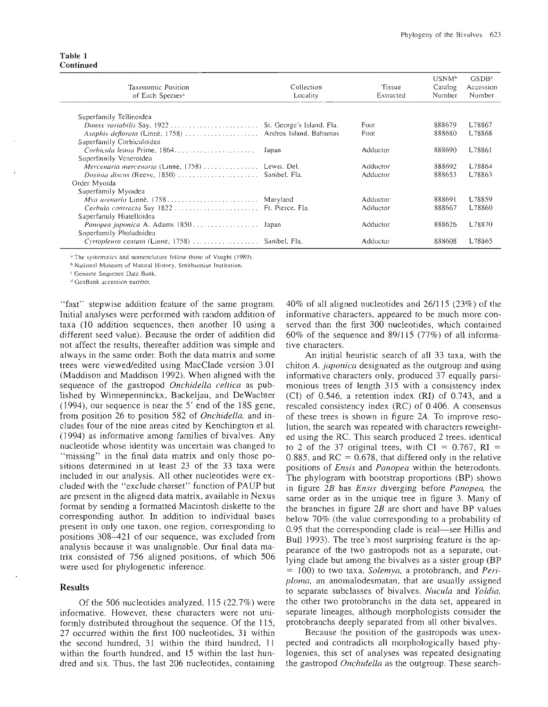#### **Table <sup>1</sup> Continued**

| Taxonomic Position<br>of Each Species <sup>4</sup>      | Collection<br>Locality | Tissue<br>Extracted | USNM <sup>b</sup><br>Catalog<br>Number | GSDB <sup>c</sup><br>Accession<br>Number |
|---------------------------------------------------------|------------------------|---------------------|----------------------------------------|------------------------------------------|
|                                                         |                        |                     |                                        |                                          |
| Superfamily Tellinoidea                                 |                        |                     |                                        |                                          |
|                                                         |                        | Foot                | 888679                                 | L78867                                   |
| Asaphis deflorata (Linnè, 1758)  Andros Island, Bahamas |                        | Foot                | 888680                                 | L78868                                   |
| Superfamily Corbiculoidea                               |                        |                     |                                        |                                          |
| Corbicula leana Prime, 1864                             | Japan                  | Adductor            | 888690                                 | L78861                                   |
| Superfamily Veneroidea                                  |                        |                     |                                        |                                          |
| Mercenaria mercenaria (Linnè, 1758)  Lewis, Del.        |                        | Adductor            | 888692                                 | L78864                                   |
| Dosinia discus (Reeve, 1850)  Sanibel. Fla.             |                        | Adductor            | 888653                                 | L78863                                   |
| Order Myoida                                            |                        |                     |                                        |                                          |
| Superfamily Myoidea                                     |                        |                     |                                        |                                          |
|                                                         |                        | Adductor            | 888691                                 | L78859                                   |
| Corbula contracta Say 1822  Ft. Pierce, Fla.            |                        | Adductor            | 888667                                 | L78860                                   |
| Superfamily Hiatelloidea                                |                        |                     |                                        |                                          |
| Panopea japonica A. Adams 1850 Japan                    |                        | Adductor            | 888626                                 | L78870                                   |
| Superfamily Pholadoidea                                 |                        |                     |                                        |                                          |
| Cyrtopleura costata (Linné, 1758)  Sanibel, Fla.        |                        | Adductor            | 888608                                 | L78865                                   |

<sup>a</sup> The systematics and nomenclature follow those of Vaught (1989).

<sup>b</sup> National Museum of Natural History. Smithsonian Institution.

^~ Genome Sequence Data Bank.

•"GenBank accession number.

"fast" stepwise addition feature of the same program. Initial analyses were performed with random addition of taxa (10 addition sequences, then another 10 using a different seed value). Because the order of addition did not affect the results, thereafter addition was simple and always in the same order. Both the data matrix and some trees were viewed/edited using MacClade version 3.01 (Maddison and Maddison 1992). When aligned with the sequence of the gastropod *Onchidella céltica* as published by Winnepenninckx, Backeljau, and DeWachter (1994), our sequence is near the 5' end of the 18S gene, from position 26 to position 582 of *Onchidella,* and includes four of the nine areas cited by Kenchington et al. (1994) as informative among families of bivalves. Any nucleotide whose identity was uncertain was changed to "missing" in the final data matrix and only those positions determined in at least 23 of the 33 taxa were included in our analysis. All other nucleotides were excluded with the "exclude charset" function of PAUP but are present in the aligned data matrix, available in Nexus format by sending a formatted Macintosh diskette to the corresponding author. In addition to individual bases present in only one taxon, one region, corresponding to positions 308-421 of our sequence, was excluded from analysis because it was unalignable. Our final data matrix consisted of 756 aligned positions, of which 506 were used for phylogenetic inference.

#### **Results**

Of the 506 nucleotides analyzed, 115 (22.7%) were informative. However, these characters were not uniformly distributed throughout the sequence. Of the 115, 27 occurred within the first 100 nucleotides, 31 within the second hundred, 31 within the third hundred, 11 within the fourth hundred, and 15 within the last hundred and six. Thus, the last 206 nucleotides, containing 40% of all aligned nucleotides and 26/115 (23%) of the informative characters, appeared to be much more conserved than the first 300 nucleotides, which contained 60% of the sequence and 89/115 (77%) of all informative characters.

An initial heuristic search of all 33 taxa, with the chiton A. *japónica* designated as the outgroup and using informative characters only, produced 37 equally parsimonious trees of length 315 with a consistency index (CI) of 0.546, a retention index (RI) of 0.743, and a rescaled consistency index (RC) of 0.406. A consensus of these trees is shown in figure *2A.* To improve resolution, the search was repeated with characters reweighted using the RC. This search produced 2 trees, identical to 2 of the 37 original trees, with  $CI = 0.767$ ,  $RI =$ 0.885, and  $RC = 0.678$ , that differed only in the relative positions of *Ensis* and *Panopea* within the heterodonts. The phylogram with bootstrap proportions (BP) shown in figure *2B* has *Ensis* diverging before *Panopea,* the same order as in the unique tree in figure 3. Many of the branches in figure *2B* are short and have BP values below 70% (the value corresponding to a probability of 0.95 that the corresponding clade is real—see Hillis and Bull 1993). The tree's most surprising feature is the appearance of the two gastropods not as a separate, outlying clade but among the bivalves as a sister group (BP = 100) to two taxa, *Soleniya,* a protobranch, and *Periploma,* an anomalodesmatan, that are usually assigned to separate subclasses of bivalves. *Nucida* and *Yoldia,* the other two protobranchs in the data set, appeared in separate lineages, although morphologists consider the protobranchs deeply separated from all other bivalves.

Because the position of the gastropods was unexpected and contradicts all morphologically based phylogenies, this set of analyses was repeated designating the gastropod *Onchidella* as the outgroup. These search-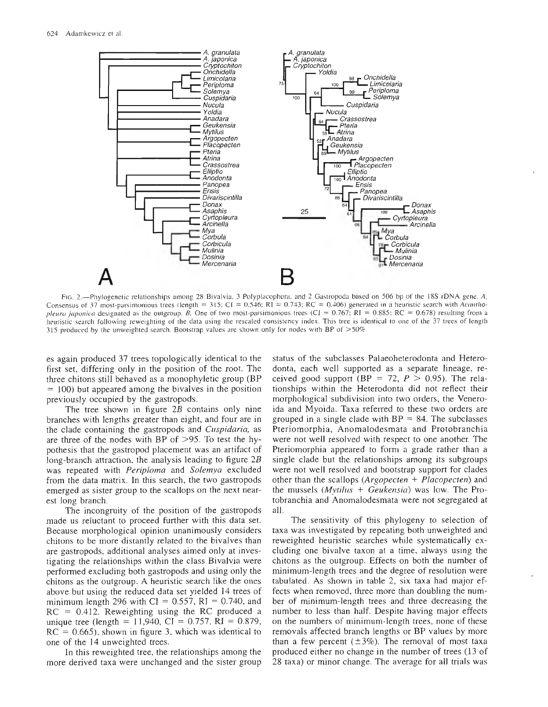

FIO. 2.•Pliylogenetic relationships among <sup>28</sup> Bivalvia. <sup>3</sup> Polyplacophora. and <sup>2</sup> Gastropoda based on <sup>506</sup> bp of the I8S rDNA gene. *A,* Consensus of 37 most-parsimonious trees (length = 315; CI = 0.546; RI = 0.743; RC = 0.406) generated in a heuristic search with *Acanthopleura iaponica* designated as the outgroup. *B*, One of two most-parsimonious trees (CI = 0.767; RI = 0.885; RC = 0.678) resulting from a heuristic search following reweighting of the data using the rescaled consistency index. This tree is identical to one of the 37 trees of length 315 produced by the unweighted search. Bootstrap values are shown only for nodes with BP of >50%.

es again produced 37 trees topologically identical to the first set, differing only in the position of the root. The three chitons still behaved as a monophyletic group (BP)  $= 100$ ) but appeared among the bivalves in the position previously occupied by the gastropods.

The tree shown in figure *2B* contains only nine branches with lengths greater than eight, and four are in the clade containing the gastropods and *Cuspidaria,* as are three of the nodes with BP of  $>95$ . To test the hypothesis that the gastropod placement was an artifact of long-branch attraction, the analysis leading to figure 2B was repeated with *Periploma* and *Solemya* excluded from the data matrix. In this search, the two gastropods emerged as sister group to the scallops on the next nearest long branch.

The incongruity of the position of the gastropods made us reluctant to proceed further with this data set. Because morphological opinion unanimously considers chitons to be more distantly related to the bivalves than are gastropods, additional analyses aimed only at investigating the relationships within the class Bivalvia were performed excluding both gastropods and using only the chitons as the outgroup. A heuristic search like the ones above but using the reduced data set yielded 14 trees of minimum length 296 with CI =  $0.557$ , RI = 0.740, and  $RC = 0.412$ . Reweighting using the RC produced a unique tree (length = 11,940, CI = 0.757, RI = 0.879,  $RC = 0.665$ , shown in figure 3, which was identical to one of the 14 unweighted trees.

In this reweighted tree, the relationships among the more derived taxa were unchanged and the sister group status of the subclasses Palaeoheterodonta and Heterodonta, each well supported as a separate lineage, received good support (BP = 72,  $P > 0.95$ ). The relationships within the Heterodonta did not reflect their morphological subdivision into two orders, the Veneroida and Myoida. Taxa referred to these two orders are grouped in a single clade with  $BP = 84$ . The subclasses Pteriomorphia, Anomalodesmata and Protobranchia were not well resolved with respect to one another. The Pteriomorphia appeared to form a grade rather than a single clade but the relationships among its subgroups were not well resolved and bootstrap support for clades other than the scallops *{Argopeclen + Placopecten)* and the mussels *{Mytilus + Geukensia)* was low. The Protobranchia and Anomalodesmata were not segregated at all.

The sensitivity of this phylogeny to selection of taxa was investigated by repeating both unweighted and reweighted heuristic searches while systematically excluding one bivalve taxon at a time, always using the chitons as the outgroup. Effects on both the number of minimum-length trees and the degree of resolution were tabulated. As shown in table 2, six taxa had major effects when removed, three more than doubling the number of minimum-length trees and three decreasing the number to less than half. Despite having major effects on the numbers of minimum-length trees, none of these removals affected branch lengths or BP values by more than a few percent ( $\pm 3\%$ ). The removal of most taxa produced either no change in the number of trees (13 of 28 taxa) or minor change. The average for all trials was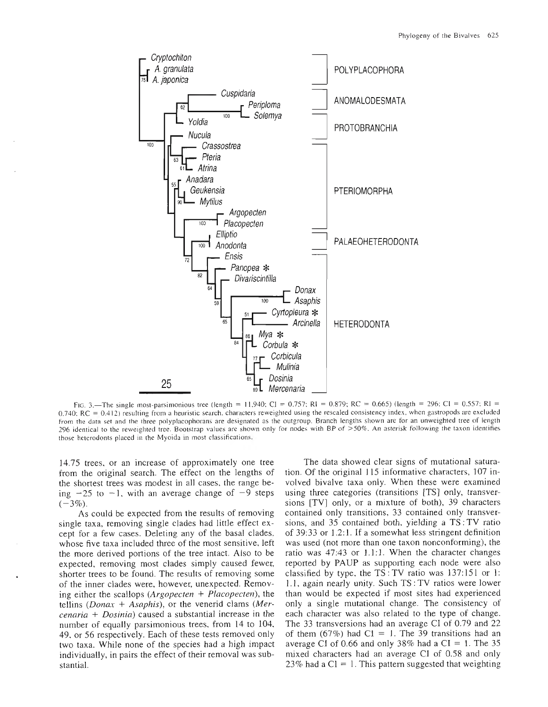

FIG. 3. The single most-parsimonious tree (length = 11,940; CI = 0.757; RI = 0.879; RC = 0.665) (length = 296; CI = 0.557; RI =  $0.740$ ; RC =  $0.412$ ) resulting from a heuristic search, characters reweighted using the rescaled consistency index, when gastropods are excluded from the data set and the three polyplacophorans are designated as the outgroup. Branch lengths shown are for an unweighted tree of length 296 identical to the reweighted tree. Bootstrap values are shown only for nodes with BP of >50%. An asterisk following the taxon identifies those heterodonts placed in the Myoida in most classifications.

14.75 trees, or an increase of approximately one tree from the original search. The effect on the lengths of the shortest trees was modest in all cases, the range being  $-25$  to  $-1$ , with an average change of  $-9$  steps  $(-3\%).$ 

As could be expected from the results of removing single taxa, removing single clades had little effect except for a few cases. Deleting any of the basal clades, whose five taxa included three of the most sensitive, left the more derived portions of the tree intact. Also to be expected, removing most clades simply caused fewer, shorter trees to be found. The results of removing some of the inner clades were, however, unexpected. Removing either the scallops (*Argopecten*  $+$  *Placopecten*), the tellins (*Donax + Asaphis*), or the venerid clams (*Mer* $c$ enaria + Dosinia) caused a substantial increase in the number of equally parsimonious trees, from 14 to 104, 49, or 56 respectively. Each of these tests removed only two taxa. While none of the species had a high impact individually, in pairs the effect of their removal was substantial.

The data showed clear signs of mutational saturation. Of the original 115 informative characters, 107 involved bivalve taxa only. When these were examined using three categories (transitions [TS] only, transversions [TV] only, or a mixture of both), 39 characters contained only transitions, 33 contained only transversions, and 35 contained both, yielding a TS: TV ratio of 39:33 or 1.2:1. If a somewhat less stringent definition was used (not more than one taxon nonconforming), the ratio was 47:43 or 1.1:1. When the character changes reported by PAUP as supporting each node were also classified by type, the  $TS: TV$  ratio was 137:151 or 1: 1.1, again nearly unity. Such TS: TV ratios were lower than would be expected if most sites had experienced only a single mutational change. The consistency of each character was also related to the type of change. The 33 transversions had an average CI of 0.79 and 22 of them (67%) had C1 = 1. The 39 transitions had an average CI of 0.66 and only 38% had a CI = 1. The 35 mixed characters had an average CI of 0.58 and only 23% had a  $Cl = 1$ . This pattern suggested that weighting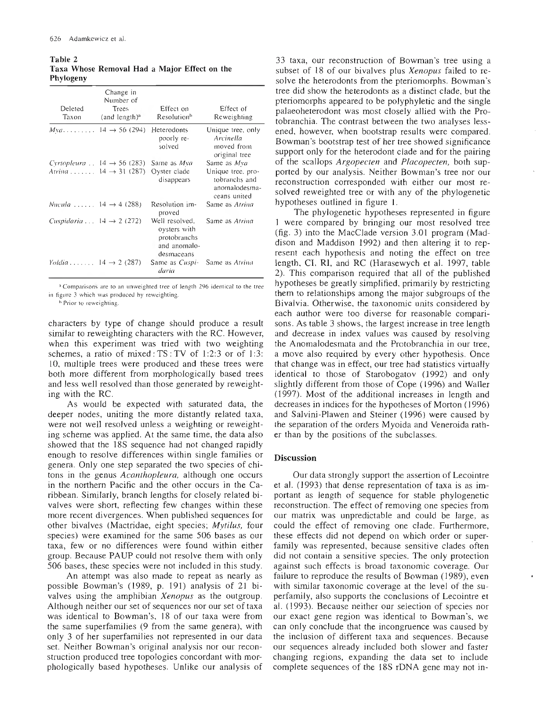**Table 2 Taxa Whose Removal Had a Major Effect on the Phytogeny**

| Deleted<br>Taxon                             | Change in<br>Number of<br>Trees<br>(and length) <sup>a</sup> | Effect on<br>Resolution <sup>b</sup>                                         | Effect of<br>Reweighting                                            |
|----------------------------------------------|--------------------------------------------------------------|------------------------------------------------------------------------------|---------------------------------------------------------------------|
|                                              | $Mya$ 14 $\rightarrow$ 56 (294) Heterodonts                  | poorly re-<br>solved                                                         | Unique tree, only<br>Arcinella<br>moved from<br>original tree       |
|                                              | Cyrtopleura . $14 \rightarrow 56$ (283) Same as Mya          |                                                                              | Same as Mya                                                         |
|                                              | Atrina $14 \rightarrow 31 (287)$                             | Oyster clade<br>disappears                                                   | Unique tree, pro-<br>tobranchs and<br>anomalodesma-<br>ceans united |
| Nucula $14 \rightarrow 4$ (288)              |                                                              | Resolution im-<br>proved                                                     | Same as <i>Atrina</i>                                               |
| Cuspidaria $\ldots$ 14 $\rightarrow$ 2 (272) |                                                              | Well resolved.<br>oysters with<br>protobranchs<br>and anomalo-<br>desmaceans | Same as Atrina                                                      |
| Yoldia $14 \rightarrow 2$ (287)              |                                                              | Same as Cuspi-<br>daria                                                      | Same as Atrina                                                      |

*^* Comparisons are to an unweighted tree of length 296 identical to the tree in figure 3 which was produced by reweighting.

<sup>b</sup> Prior to reweighting.

characters by type of change should produce a result similar to reweighting characters with the RC. However, when this experiment was tried with two weighting schemes, a ratio of mixed : TS: TV of 1:2:3 or of 1:3: 10, multiple trees were produced and these trees were both more different from morphologically based trees and less well resolved than those generated by reweighting with the RC.

As would be expected with saturated data, the deeper nodes, uniting the more distantly related taxa, were not well resolved unless a weighting or reweighting scheme was appüed. At the same time, the data also showed that the 18S sequence had not changed rapidly enough to resolve differences within single families or genera. Only one step separated the two species of chitons in the genus *Acanthopleura,* although one occurs in the northern Pacific and the other occurs in the Caribbean. Similarly, branch lengths for closely related bivalves were short, reflecting few changes within these more recent divergences. When published sequences for other bivalves (Mactridae, eight species; *Mytilus,* four species) were examined for the same 506 bases as our taxa, few or no differences were found within either group. Because PAUP could not resolve them with only 506 bases, these species were not included in this study.

An attempt was also made to repeat as nearly as possible Bowman's (1989, p. 191) analysis of 21 bivalves using the amphibian *Xenopus* as the outgroup. Although neither our set of sequences nor our set of taxa was identical to Bowman's, 18 of our taxa were from the same superfamilies (9 from the same genera), with only 3 of her superfamilies not represented in our data set. Neither Bowman's original analysis nor our reconstruction produced tree topologies concordant with morphologically based hypotheses. Unlike our analysis of

33 taxa, our reconstruction of Bowman's tree using a subset of 18 of our bivalves plus *Xenopus* failed to resolve the heterodonts from the pteriomorphs. Bowman's tree did show the heterodonts as a distinct clade, but the pteriomoiphs appeared to be polyphyletic and the single palaeoheterodont was most closely allied with the Protobranchia. The contrast between the two analyses lessened, however, when bootstrap results were compared. Bowman's bootstrap test of her tree showed significance support only for the heterodont clade and for the pairing of the scallops *Argopecten* and *Placopecten,* both supported by our analysis. Neither Bowman's tree nor our reconstruction corresponded with either our most resolved reweighted tree or with any of the phylogenetic hypotheses outlined in figure I.

The phylogenetic hypotheses represented in figure <sup>1</sup> were compared by bringing our most resolved tree (fig. 3) into the MacClade version 3.01 program (Maddison and Maddison 1992) and then altering it to represent each hypothesis and noting the effect on tree length, Cl, RI, and RC (Harasewych et ai. 1997, table 2). This comparison required that all of the published hypotheses be greatly simplified, primarily by restricting them to relationships among the major subgroups of the Bivalvia. Otherwise, the taxonomic units considered by each author were too diverse for reasonable comparisons. As table 3 shows, the largest increase in tree length and decrease in index values was caused by resolving the Anomalodesmata and the Protobranchia in our tree, a move also required by every other hypothesis. Once that change was in effect, our tree had statistics virtually identical to those of Starobogatov (1992) and only slightly different from those of Cope (1996) and Waller (1997). Most of the additional increases in length and decreases in indices for the hypotheses of Morton (1996) and Salvini-Plawen and Steiner (1996) were caused by the separation of the orders Myoida and Veneroida rather than by the positions of the subclasses.

#### **Discussion**

Our data strongly support the assertion of Lecointre et al. (1993) that dense representation of taxa is as important as length of sequence for stable phylogenetic reconstruction. The effect of removing one species from our matrix was unpredictable and could be large, as could the effect of removing one clade. Furthermore, these effects did not depend on which order or superfamily was represented, because sensitive clades often did not contain a sensitive species. The only protection against such effects is broad taxonomic coverage. Our failure to reproduce the results of Bowman (1989), even with similar taxonomic coverage at the level of the superfamily, also supports the conclusions of Lecointre et al. (1993). Because neither our selection of species nor our exact gene region was identical to Bowman's, we can only conclude that the incongruence was caused by the inclusion of different taxa and sequences. Because our sequences already included both slower and faster changing regions, expanding the data set to include complete sequences of the 188 rDNA gene may not in-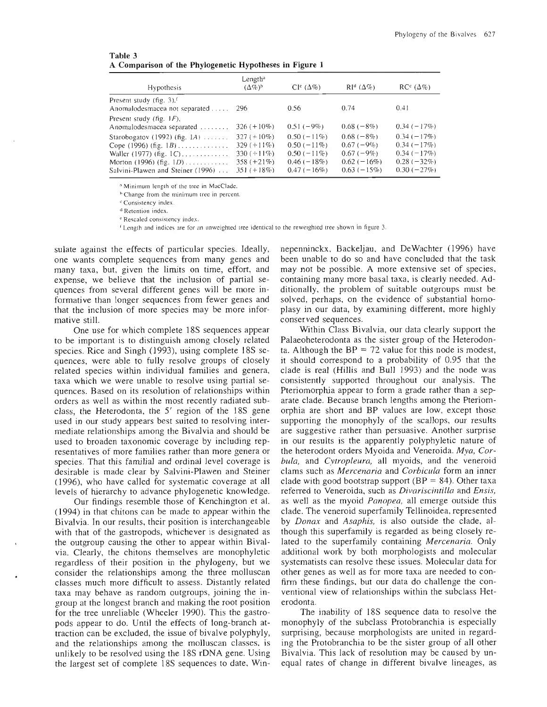| Table 3 |                                                         |  |  |
|---------|---------------------------------------------------------|--|--|
|         | A Comparison of the Phylogenetic Hypotheses in Figure 1 |  |  |

| <b>Hypothesis</b>                                                                                                                     | Length <sup>n</sup><br>$(\Delta\%)^{\rm b}$                                       | $CI^c(\Delta\%)$                                                                | $\mathsf{RI}^{\mathsf{d}}\left(\Delta\% \right)$                          | $RC^{\circ}(\Delta\%)$                                                        |
|---------------------------------------------------------------------------------------------------------------------------------------|-----------------------------------------------------------------------------------|---------------------------------------------------------------------------------|---------------------------------------------------------------------------|-------------------------------------------------------------------------------|
| Present study $(f_1g_1, 3)$ , $(f_1g_2, 3)$<br>Anomalodesmacea not separated                                                          | - 296                                                                             | 0.56                                                                            | 0.74                                                                      | 0.41                                                                          |
| Present study (fig. $1F$ ),<br>Anomalodesmacea separated                                                                              | $326 (+10\%)$                                                                     | $0.51(-9\%)$                                                                    | $0.68(-8%)$                                                               | $0.34(-17%)$                                                                  |
| Starobogatov (1992) (fig. $1A$ )<br>Cope (1996) (fig. 1 <i>B</i> )<br>Waller (1977) (fig. $1C$ )<br>Salvini-Plawen and Steiner (1996) | 327 $(+10\%)$<br>$329 (+11\%)$<br>330 $(+11\%)$<br>$358 (+21\%)$<br>$351 (+18\%)$ | $0.50(-11\%)$<br>$0.50(-11\%)$<br>$0.50(-11\%)$<br>$0.46(-18%)$<br>$0.47(-16%)$ | $0.68(-8%)$<br>$0.67(-9%)$<br>$0.67(-9%)$<br>$0.62(-16%)$<br>$0.63(-15%)$ | $0.34(-17%)$<br>$0.34 (-17%)$<br>$0.34(-17%)$<br>$0.28(-32%)$<br>$0.30(-27%)$ |

^ Minimum length of the tree in MacClade.

<sup>b</sup> Change from the minimum tree in percent.

^' Consistency index.

<sup>d</sup> Retention index.

^ Rescaled consistency index.

' Length and indices are for an unweighted tree identical to the reweighted tree shown in figure 3.

sulate against the effects of particular species. Ideally, one wants complete sequences from many genes and many taxa, but, given the limits on time, effort, and expense, we believe that the inclusion of partial sequences from several different genes will be more informative than longer sequences from fewer genes and that the inclusion of more species may be more informative still.

One use for which complete 18S sequences appear to be important is to distinguish among closely related species. Rice and Singh (1993), using complete 18S sequences, were able to fully resolve groups of closely related species within individual families and genera, taxa which we were unable to resolve using partial sequences. Based on its resolution of relationships within orders as well as within the most recently radiated subclass, the Heterodonta, the 5' region of the 18S gene used in our study appears best suited to resolving intermediate relationships among the Bivalvia and should be used to broaden taxonomic coverage by including representatives of more families rather than more genera or species. That this familial and ordinal level coverage is desirable is made clear by Salvini-Plawen and Steiner (1996), who have called for systematic coverage at all levels of hierarchy to advance phylogenetic knowledge.

Our findings resemble those of Kenchington et al. (1994) in that chitons can be made to appear within the Bivalvia. In our results, their position is interchangeable with that of the gastropods, whichever is designated as the outgroup causing the other to appear within Bivalvia. Clearly, the chitons themselves are monophyletic regardless of their position in the phyJogeny, but we consider the relationships among the three molluscan classes much more difficult to assess. Distantly related taxa may behave as random outgroups, joining the ingroup at the longest branch and making the root position for the tree unreliable (Wheeler 1990). This the gastropods appear to do. Until the effects of long-branch attraction can be excluded, the issue of bivalve polyphyly, and the relationships among the molluscan classes, is unlikely to be resolved using the IBS rDNA gene. Using the largest set of complete IBS sequences to date, Win-

nepenninckx, Backeljau, and DeWachter (1996) have been unable to do so and have concluded that the task may not be possible. A more extensive set of species, containing many more basal taxa, is clearly needed. Additionally, the problem of suitable outgroups must be solved, perhaps, on the evidence of substantial homoplasy in our data, by examining different, more highly conserved sequences.

Within Class Bivalvia, our data clearly support the Palaeoheterodonta as the sister group of the Heterodonta. Although the  $BP = 72$  value for this node is modest, it should correspond to a probability of 0.95 that the clade is real (Hillis and Bull 1993) and the node was consistently supported throughout our analysis. The Pteriomorphia appear to form a grade rather than a separate clade. Because branch lengths among the Pteriomorphia are short and BP values are low, except those supporting the monophyly of the scallops, our results are suggestive rather than persuasive. Another surprise in our results is the apparently polyphyletic nature of the heterodont orders Myoida and Veneroida. *Mya, Corbula,* and *Cytropleura,* all myoids, and the veneroid clams such as *Mercenaria* and *Corbicula* form an inner clade with good bootstrap support ( $BP = 84$ ). Other taxa referred to Veneroida, such as *Divariscintilla* and *Ensis,* as well as the myoid *Panopea,* all emerge outside this clade. The veneroid superfamily Tellinoidea, represented by *Donax* and *Asaphis,* is also outside the clade, although this superfamily is regarded as being closely related to the superfamily containing *Mercenaria.* Only additional work by both morphologists and molecular systematists can resolve these issues. Molecular data for other genes as well as for more taxa are needed to confirm these findings, but our data do challenge the conventional view of relationships within the subclass Heterodonta.

The inability of 185 sequence data to resolve the monophyly of the subclass Protobranchia is especially surprising, because morphologists are united in regarding the Protobranchia to be the sister group of all other Bivalvia. This lack of resolution may be caused by unequal rates of change in different bivalve lineages, as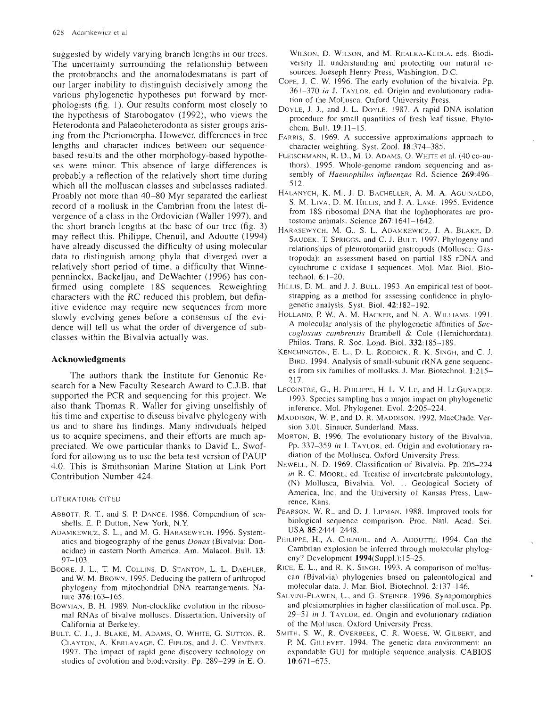suggested by widely varying branch lengths in our trees. The uncertainty surrounding the relationship between the protobranchs and the anomalodesmatans is part of our larger inability to distinguish decisively among the various phylogenetic hypotheses put forward by morphologists (fig. 1). Our results conform most closely to the hypothesis of Starobogatov (1992), who views the Heterodonta and Palaeoheterodonta as sister groups arising from the Pteriomorpha. However, differences in tree lengths and character indices between our sequencebased results and the other morphology-based hypotheses were minor. This absence of large differences is probably a reflection of the relatively short time during which all the molluscan classes and subclasses radiated. Proably not more than 40-80 Myr separated the earliest record of a mollusk in the Cambrian from the latest divergence of a class in the Ordovician (Waller 1997), and the short branch lengths at the base of our tree (fig. 3) may reflect this. Philippe, Chenuil, and Adoutte (1994) have already discussed the difficulty of using molecular data to distinguish among phyla that diverged over a relatively short period of time, a difficulty that Winnepenninckx, Backeljau, and DeWächter (1996) has confirmed using complete 18S sequences. Reweighting characters with the RC reduced this problem, but definitive evidence may require new sequences from more slowly evolving genes before a consensus of the evidence will tell us what the order of divergence of subclasses within the Bivalvia actually was.

#### **Acknowledgments**

The authors thank the Institute for Genomic Research for a New Faculty Research Award to C.J.B. that supported the PCR and sequencing for this project. We also thank Thomas R. Waller for giving unselfishly of his time and expertise to discuss bivalve phylogeny with us and to share his findings. Many individuals helped us to acquire specimens, and their efforts are much appreciated. We owe particular thanks to David L. Swofford for allowing us to use the beta test version of PAUP 4.0. This is Smithsonian Marine Station at Link Port Contribution Number 424.

#### LITERATURE CITED

- ABBOTT, R. T., and S. P. DANCE. 1986. Compendium of seashells. E. P. Dutton, New York, N.Y.
- ADAMKEWICZ, S. L., and M. G. HARASEWYCH. 1996. Systematics and biogeography of the genus *Donax* (Bivalvia: Donacidae) in eastern North America. Am. Malacol. Bull. 13: 97-103.
- BooRE, J. L., T. M. COLLINS, D. STANTON, L. L. DAEHLER, and W. M. BROWN. 1995. Deducing the pattern of arthropod phylogeny from mitochondrial DNA rearrangements. Nature 376:163-165.
- BOWMAN, B. H. 1989. Non-clocklike evolution in the ribosomal RNAs of bivalve molluscs. Dissertation, University of California at Berkeley.
- BULT, C. J., J. BLAKE, M. ADAMS, O. WHITE, G. SUTTON, R. CLAYTON, A. KERLAVAGE, C. FIELDS, and J. C. VENTNER. 1997. The impact of rapid gene discovery technology on studies of evolution and biodiversity. Pp. 289-299 *in* E. O.

WILSON, D. WILSON, and M. REALKA-KUDLA, eds. Biodiversity II: understanding and protecting our natural resources. Joeseph Henry Press, Washington, D.C.

- COPE, J. C. W. 1996. The early evolution of the bivalvia. Pp. 361-370 *in* J. TAYLOR, ed. Origin and evolutionary radiation of the Mollusca. Oxford University Press.
- DOYLE, J. J., and J. L. DOYLE. 1987. A rapid DNA isolation procedure for small quantities of fresh leaf tissue. Phytochem. Bull. 19:11-15.
- FARRIS, S. 1969. A successive approximations approach to character weighting. Syst. Zool. 18:374-385.
- FLEISCHMANN, R. D., M. D. ADAMS, O. WHITE et al. (40 co-authors). 1995. Whole-genome random sequencing and assembly of *Haemophilus influenzae* Rd. Science 269:496-512.
- HALANYCH, K. M., J. D. BACHELLER, A. M. A. AGUINALDO, S. M. Liva, D. M. Hillis, and J. A. Lake. 1995. Evidence from 18S ribosomal DNA that ihe lophophorates are protostome animals. Science 267.1641-1642.
- HARASEWYCH, M. G., S. L. ADAMKEWICZ, J. A. BLAKE, D. SAUDEK, T. SPRIGGS, and C. J. BULT. 1997. Phylogeny and relationships of pleurotomariid gastropods (Mollusca: Gastropoda): an assessment based on partial 18S rDNA and cytochrome c oxidase <sup>I</sup> sequences. Mol. Mar Biol. Biotechnol. 6:1-20.
- HiLLis, D. M., and j. J. BULL. 1993. An empirical test of bootstrapping as a method for assessing confidence in phylogenetic analysis. Syst. Biol. 42:182-192.
- HOLLAND, R W., A. M. HACKER, and N. A. WILLIAMS. 1991. A molecular analysis of the phylogenetic affinities of *Saccoglossus cambrensis* Brambell & Cole (Hemichordata), Philos. Trans. R. Soc. Lond. Biol. 332:185-189.
- KENCHINGTON, E. L., D. L. RODDICK, R. K. SINGH, and C. J. BIRD. 1994. Analysis of small-subunit rRNA gene sequences from six families of mollusks. J. Mar. Biotechnol. 1:215- 217.
- LECOINTRE, G., H. PHILIPPE, H. L. V. LE, and H. LEGUYADER. 1993. Species sampling has a major impact on phylogenetic inference. Mol. Phylogenet. Evol. 2:205-224.
- MADDISON, W. R, and D. R. MADDISON. 1992. MacClade. Version 3.01. Sinauer, Sunderland, Mass.
- MORTON, B. 1996. The evolutionary history of the Bivalvia. Pp. 337-359 *in* J. TAYLOR, ed. Origin and evolutionary radiation of the Mollusca. Oxford University Press.
- NEWELL, N. D. 1969. Classification of Bivalvia. Pp. 205-224 *in* R. C. MOORE, ed. Treatise of invertebrate paleontology, (N) Mollusca, Bivalvia. Vol. 1. Geological Society of America, Inc. and the University of Kansas Press, Lawrence, Kans.
- PEARSON, W. R., and D. J. LIPMAN. 1988. Improved tools for biological sequence comparison. Proc. Nati. Acad. Sei. USA 85:2444-2448.
- PHILIPPE, H., A. CHENUIL, and A. ADOUTTE. 1994. Can the Cambrian explosion be inferred through molecular phylogeny? Development 1994(Suppl.):15-25.
- RICE, E. L., and R. K. SINGH. 1993. A comparison of molluscan (Bivalvia) phytogenies based on paleontological and molecular data. J. Mar. Biol. Biotechnol. 2:137-146.
- SALVINI-PLAWEN, L., and G. STEINER. 1996. Synapomorphies and plesiomorphies in higher classification of mollusca. Pp. 29-51 *in* J. TAYLOR, ed. Origin and evolutionary radiation of the Mollusca. Oxford University Press.
- SMITH, S. W., R. OVERBEEK, C. R. WOESE, W. GILBERT, and P M. GiLLEVET. 1994. The genetic data environment: an expandable GUI for multiple sequence analysis. CABIOS 10:671-675.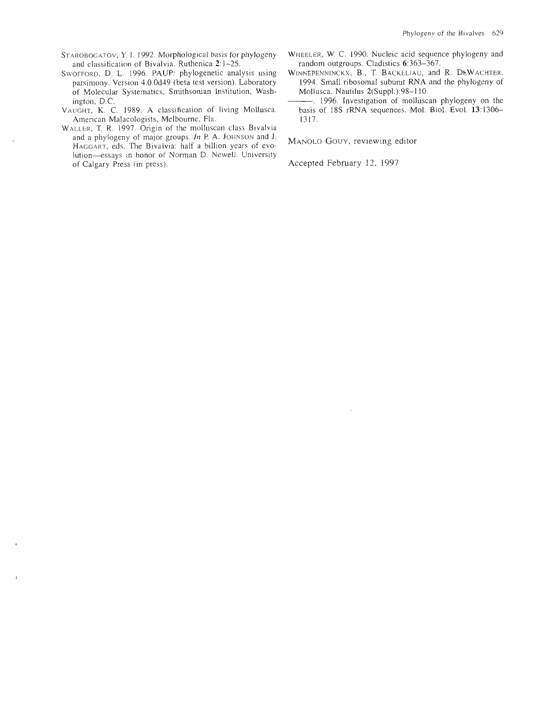- and classification of Bivalvia. Ruthenica 2:1-25. random outgroups. Cladistics 6:363-367.<br>OFFORD, D. L. 1996. PAUP: phylogenetic analysis using WINNEPENNINCKX, B., T. BACKELJAU, and R. DEWACHTER.
- parsimony. Version 4.0.0d49 (beta test version). Laboratory 1994. Small ribosomal subunit RNA of Molecular Systematics, Smithsonian Institution, Wash-<br>Mollusca. Nautilus 2(Suppl.):98–110. of Molecular Systematics, Smithsonian Institution, Wash-
- VAUGHT, K. C. 1989. A classification of living Mollusca. basis American Malacologists, Melbourne, Fla. 1317. American Malacologists, Melbourne, Fla.
- WALLER, T. R. 1997. Origin of the molluscan class Bivalvia and a phylogeny of major groups. In P. A. JOHNSON and J. MANOLO GOUY, reviewing editor HAGGART, eds. The Bivalvia: half a billion years of evolution—essays in honor of Norman D. Newell. University of Calgary Press (in press).
- STAROBOGATOV, Y. I. 1992. Morphological basis for phylogeny WHEELER, W. C. 1990. Nucleic acid sequence phylogeny and and classification of Bivalvia. Ruthenica 2:1-25.
- SwoFFORD, D. L. 1996. PAUP: phylogenetic analysis using WINNEPENNINCKX, B., T. BACKELJAU, and R. DEWACHTER.<br>parsimony. Version 4.0.0d49 (beta test version). Laboratory 1994. Small ribosomal subunit RNA and the phylogeny of
	- ington, D.C.<br>
	UGHT, K. C. 1989. A classification of living Mollusca. basis of 18S rRNA sequences. Mol. Biol. Evol. 13:1306–

Accepted February 12, 1997.